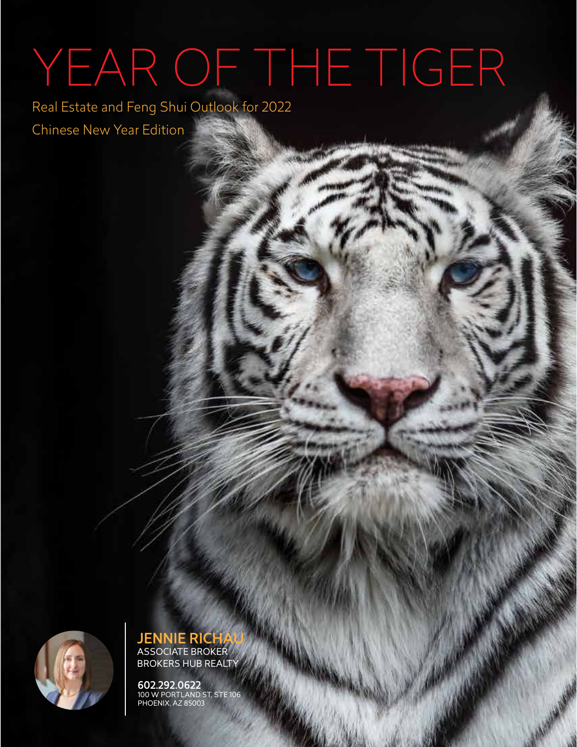# YEAR OF THE TIGER

Real Estate and Feng Shui Outlook for 2022 Chinese New Year Edition



JENNIE RICHAU ASSOCIATE BROKER BROKERS HUB REALTY

602.292.0622 100 W PORTLAND ST, STE 106 PHOENIX, AZ 85003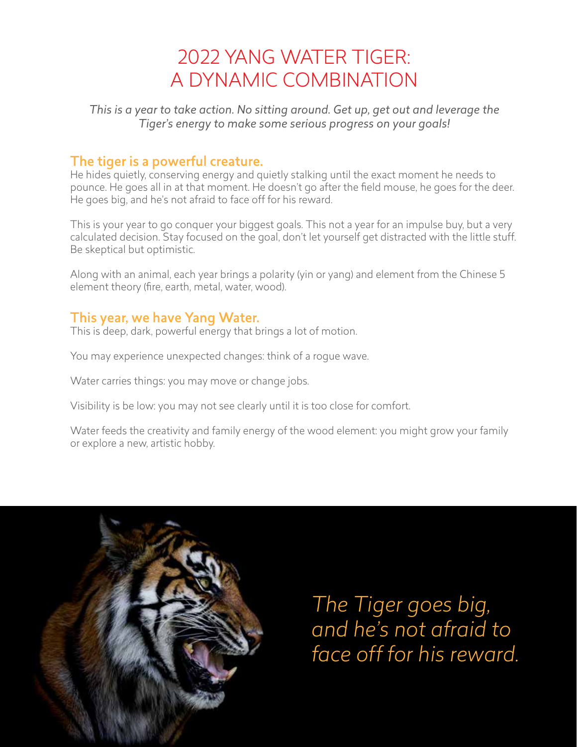## 2022 YANG WATER TIGER: A DYNAMIC COMBINATION

*This is a year to take action. No sitting around. Get up, get out and leverage the Tiger's energy to make some serious progress on your goals!*

#### The tiger is a powerful creature.

He hides quietly, conserving energy and quietly stalking until the exact moment he needs to pounce. He goes all in at that moment. He doesn't go after the field mouse, he goes for the deer. He goes big, and he's not afraid to face off for his reward.

This is your year to go conquer your biggest goals. This not a year for an impulse buy, but a very calculated decision. Stay focused on the goal, don't let yourself get distracted with the little stuff. Be skeptical but optimistic.

Along with an animal, each year brings a polarity (yin or yang) and element from the Chinese 5 element theory (fire, earth, metal, water, wood).

#### This year, we have Yang Water.

This is deep, dark, powerful energy that brings a lot of motion.

You may experience unexpected changes: think of a rogue wave.

Water carries things: you may move or change jobs.

Visibility is be low: you may not see clearly until it is too close for comfort.

Water feeds the creativity and family energy of the wood element: you might grow your family or explore a new, artistic hobby.



*The Tiger goes big, and he's not afraid to face off for his reward.*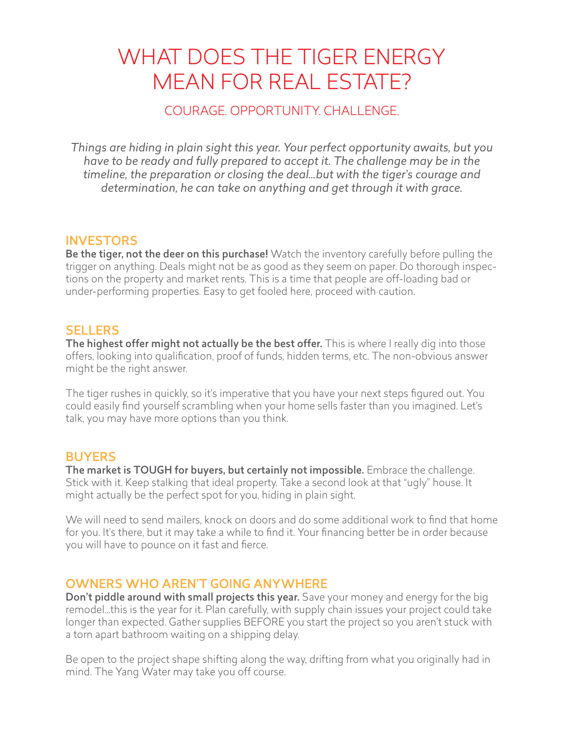# WHAT DOES THE TIGER ENERGY MEAN FOR REAL ESTATE?

#### COURAGE. OPPORTUNITY. CHALLENGE.

*Things are hiding in plain sight this year. Your perfect opportunity awaits, but you have to be ready and fully prepared to accept it. The challenge may be in the timeline, the preparation or closing the deal…but with the tiger's courage and determination, he can take on anything and get through it with grace.* 

#### **INVESTORS**

Be the tiger, not the deer on this purchase! Watch the inventory carefully before pulling the trigger on anything. Deals might not be as good as they seem on paper. Do thorough inspections on the property and market rents. This is a time that people are off-loading bad or under-performing properties. Easy to get fooled here, proceed with caution.

#### **SELLERS**

The highest offer might not actually be the best offer. This is where I really dig into those offers, looking into qualification, proof of funds, hidden terms, etc. The non-obvious answer might be the right answer.

The tiger rushes in quickly, so it's imperative that you have your next steps figured out. You could easily find yourself scrambling when your home sells faster than you imagined. Let's talk, you may have more options than you think.

#### **BUYERS**

The market is TOUGH for buyers, but certainly not impossible. Embrace the challenge. Stick with it. Keep stalking that ideal property. Take a second look at that "ugly" house. It might actually be the perfect spot for you, hiding in plain sight.

We will need to send mailers, knock on doors and do some additional work to find that home for you. It's there, but it may take a while to find it. Your financing better be in order because you will have to pounce on it fast and fierce.

#### OWNERS WHO AREN'T GOING ANYWHERE

Don't piddle around with small projects this year. Save your money and energy for the big remodel…this is the year for it. Plan carefully, with supply chain issues your project could take longer than expected. Gather supplies BEFORE you start the project so you aren't stuck with a torn apart bathroom waiting on a shipping delay.

Be open to the project shape shifting along the way, drifting from what you originally had in mind. The Yang Water may take you off course.